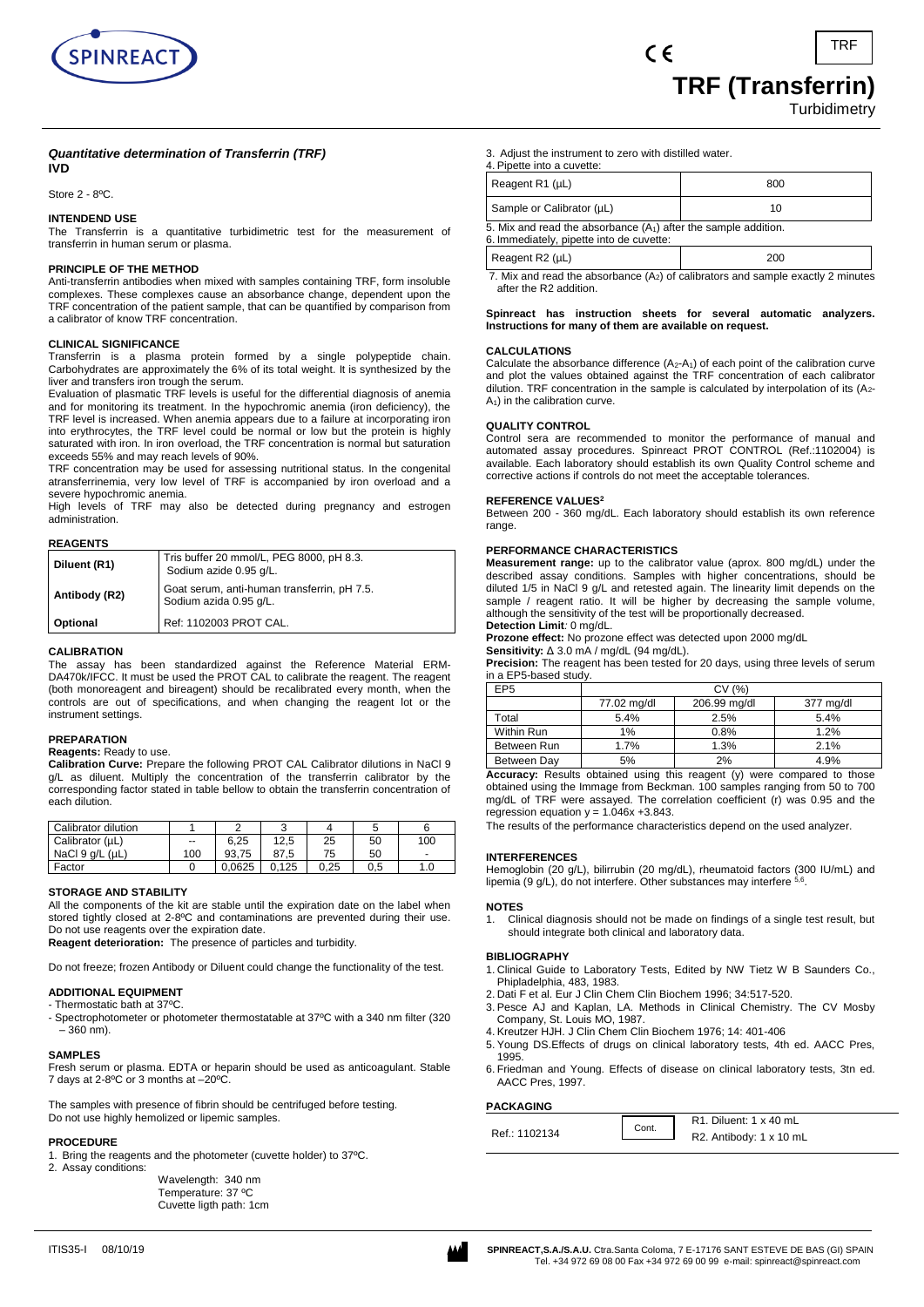

**Turbidimetry** 

### *Quantitative determination of Transferrin (TRF)* **IVD**

Store 2 - 8ºC.

# **INTENDEND USE**

The Transferrin is a quantitative turbidimetric test for the measurement of transferrin in human serum or plasma.

# **PRINCIPLE OF THE METHOD**

Anti-transferrin antibodies when mixed with samples containing TRF, form insoluble complexes. These complexes cause an absorbance change, dependent upon the TRF concentration of the patient sample, that can be quantified by comparison from a calibrator of know TRF concentration.

# **CLINICAL SIGNIFICANCE**

Transferrin is a plasma protein formed by a single polypeptide chain. Carbohydrates are approximately the 6% of its total weight. It is synthesized by the liver and transfers iron trough the serum.

Evaluation of plasmatic TRF levels is useful for the differential diagnosis of anemia and for monitoring its treatment. In the hypochromic anemia (iron deficiency), the TRF level is increased. When anemia appears due to a failure at incorporating iron into erythrocytes, the TRF level could be normal or low but the protein is highly saturated with iron. In iron overload, the TRF concentration is normal but saturation exceeds 55% and may reach levels of 90%.

TRF concentration may be used for assessing nutritional status. In the congenital atransferrinemia, very low level of TRF is accompanied by iron overload and a severe hypochromic anemia.

High levels of TRF may also be detected during pregnancy and estrogen administration.

| <b>REAGENTS</b> |                                                                       |
|-----------------|-----------------------------------------------------------------------|
| Diluent (R1)    | Tris buffer 20 mmol/L, PEG 8000, pH 8.3.<br>Sodium azide 0.95 g/L.    |
| Antibody (R2)   | Goat serum, anti-human transferrin, pH 7.5.<br>Sodium azida 0.95 g/L. |
| Optional        | Ref: 1102003 PROT CAL.                                                |

# **CALIBRATION**

The assay has been standardized against the Reference Material ERM-DA470k/IFCC. It must be used the PROT CAL to calibrate the reagent. The reagent (both monoreagent and bireagent) should be recalibrated every month, when the controls are out of specifications, and when changing the reagent lot or the instrument settings.

# **PREPARATION**

**Reagents:** Ready to use.

**Calibration Curve:** Prepare the following PROT CAL Calibrator dilutions in NaCl 9 g/L as diluent. Multiply the concentration of the transferrin calibrator by the corresponding factor stated in table bellow to obtain the transferrin concentration of each dilution.

| Calibrator dilution     |     | $\overline{ }$ |       |      |     |                          |
|-------------------------|-----|----------------|-------|------|-----|--------------------------|
| Calibrator (µL)         | --  | 6.25           | 12,5  | 25   | 50  | 100                      |
| NaCl $9$ $a/L$ ( $uL$ ) | 100 | 93.75          | 87.5  | 75   | 50  | $\overline{\phantom{0}}$ |
| Factor                  |     | 0.0625         | 0.125 | 0.25 | 0.5 | 1.0                      |

# **STORAGE AND STABILITY**

All the components of the kit are stable until the expiration date on the label when stored tightly closed at 2-8ºC and contaminations are prevented during their use. Do not use reagents over the expiration date.

**Reagent deterioration:** The presence of particles and turbidity.

Do not freeze; frozen Antibody or Diluent could change the functionality of the test.

# **ADDITIONAL EQUIPMENT**

- Thermostatic bath at 37ºC.

- Spectrophotometer or photometer thermostatable at 37ºC with a 340 nm filter (320 – 360 nm).

### **SAMPLES**

Fresh serum or plasma. EDTA or heparin should be used as anticoagulant. Stable 7 days at 2-8ºC or 3 months at –20ºC.

The samples with presence of fibrin should be centrifuged before testing. Do not use highly hemolized or lipemic samples.

### **PROCEDURE**

1. Bring the reagents and the photometer (cuvette holder) to 37ºC. Assay conditions:

Wavelength: 340 nm Temperature: 37 ºC Cuvette ligth path: 1cm 3. Adjust the instrument to zero with distilled water.

| 4. Pipette into a cuvette:                                                                                    |     |  |  |
|---------------------------------------------------------------------------------------------------------------|-----|--|--|
| Reagent R1 (µL)                                                                                               | 800 |  |  |
| Sample or Calibrator (µL)                                                                                     | 10  |  |  |
| 5. Mix and read the absorbance $(A_1)$ after the sample addition.<br>6. Immediately, pipette into de cuvette: |     |  |  |
| Reagent $R2$ ( $\mu$ L)                                                                                       | 200 |  |  |

 $\epsilon$ 

7. Mix and read the absorbance  $(A_2)$  of calibrators and sample exactly 2 minutes after the R2 addition.

### **Spinreact has instruction sheets for several automatic analyzers. Instructions for many of them are available on request.**

### **CALCULATIONS**

Calculate the absorbance difference  $(A_2-A_1)$  of each point of the calibration curve and plot the values obtained against the TRF concentration of each calibrator dilution. TRF concentration in the sample is calculated by interpolation of its (A2-  $A_1$ ) in the calibration curve.

### **QUALITY CONTROL**

Control sera are recommended to monitor the performance of manual and automated assay procedures. Spinreact PROT CONTROL (Ref.:1102004) is available. Each laboratory should establish its own Quality Control scheme and corrective actions if controls do not meet the acceptable tolerances.

### **REFERENCE VALUES<sup>2</sup>**

Between 200 - 360 mg/dL. Each laboratory should establish its own reference range.

### **PERFORMANCE CHARACTERISTICS**

**Measurement range:** up to the calibrator value (aprox. 800 mg/dL) under the described assay conditions. Samples with higher concentrations, should be diluted 1/5 in NaCl 9 g/L and retested again. The linearity limit depends on the sample / reagent ratio. It will be higher by decreasing the sample volume, although the sensitivity of the test will be proportionally decreased.

# **Detection Limit***:* 0 mg/dL.

**Prozone effect:** No prozone effect was detected upon 2000 mg/dL **Sensitivity:** Δ 3.0 mA / mg/dL (94 mg/dL).

**Precision:** The reagent has been tested for 20 days, using three levels of serum in a EP5-based study.

| EP <sub>5</sub> | CV (%)      |              |           |  |
|-----------------|-------------|--------------|-----------|--|
|                 | 77.02 mg/dl | 206.99 mg/dl | 377 mg/dl |  |
| Total           | 5.4%        | 2.5%         | 5.4%      |  |
| Within Run      | 1%          | 0.8%         | 1.2%      |  |
| Between Run     | 1.7%        | 1.3%         | 2.1%      |  |
| Between Day     | 5%          | 2%           | 4.9%      |  |

**Accuracy:** Results obtained using this reagent (y) were compared to those obtained using the Immage from Beckman. 100 samples ranging from 50 to 700 mg/dL of TRF were assayed. The correlation coefficient (r) was 0.95 and the regression equation  $y = 1.046x + 3.843$ .

The results of the performance characteristics depend on the used analyzer.

# **INTERFERENCES**

Hemoglobin (20 g/L), bilirrubin (20 mg/dL), rheumatoid factors (300 IU/mL) and lipemia (9 g/L), do not interfere. Other substances may interfere  $5,6$ .

### **NOTES**

1. Clinical diagnosis should not be made on findings of a single test result, but should integrate both clinical and laboratory data.

### **BIBLIOGRAPHY**

- 1. Clinical Guide to Laboratory Tests, Edited by NW Tietz W B Saunders Co., Phipladelphia, 483, 1983.
- 2. Dati F et al. Eur J Clin Chem Clin Biochem 1996; 34:517-520.
- 3. Pesce AJ and Kaplan, LA. Methods in Clinical Chemistry. The CV Mosby Company, St. Louis MO, 1987.
- 4. Kreutzer HJH. J Clin Chem Clin Biochem 1976; 14: 401-406

**Cont** 

- 5. Young DS.Effects of drugs on clinical laboratory tests, 4th ed. AACC Pres, 1995.
- 6. Friedman and Young. Effects of disease on clinical laboratory tests, 3tn ed. AACC Pres, 1997.

# **PACKAGING**

Ref.: 1102134

R1. Diluent: 1 x 40 mL R2. Antibody: 1 x 10 mL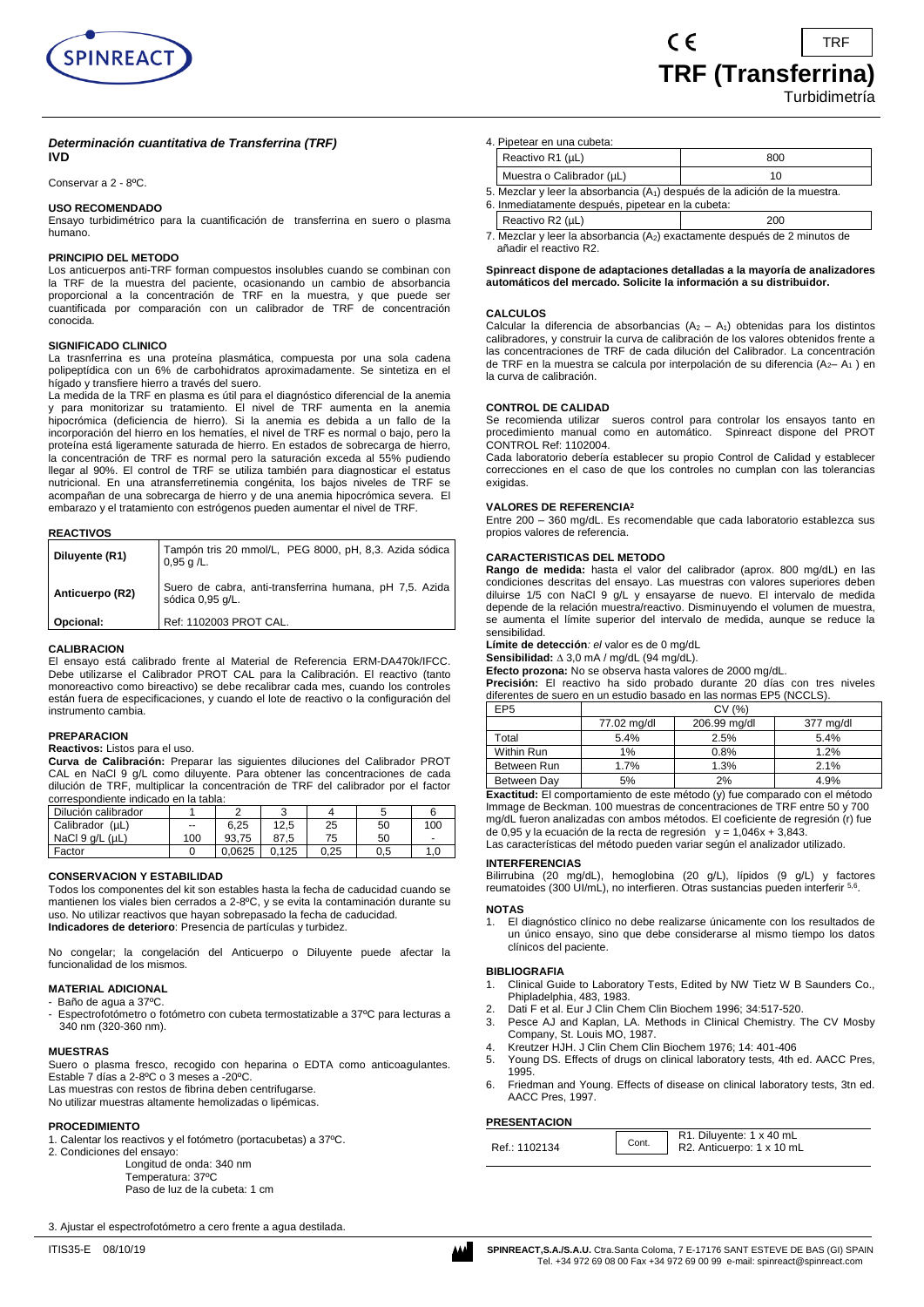

Conservar a 2 - 8ºC.

# **USO RECOMENDADO**

Ensayo turbidimétrico para la cuantificación de transferrina en suero o plasma humano.

# **PRINCIPIO DEL METODO**

Los anticuerpos anti-TRF forman compuestos insolubles cuando se combinan con la TRF de la muestra del paciente, ocasionando un cambio de absorbancia proporcional a la concentración de TRF en la muestra, y que puede ser cuantificada por comparación con un calibrador de TRF de concentración conocida.

### **SIGNIFICADO CLINICO**

La trasnferrina es una proteína plasmática, compuesta por una sola cadena polipeptídica con un 6% de carbohidratos aproximadamente. Se sintetiza en el hígado y transfiere hierro a través del suero.

La medida de la TRF en plasma es útil para el diagnóstico diferencial de la anemia y para monitorizar su tratamiento. El nivel de TRF aumenta en la anemia hipocrómica (deficiencia de hierro). Si la anemia es debida a un fallo de la incorporación del hierro en los hematíes, el nivel de TRF es normal o bajo, pero la proteína está ligeramente saturada de hierro. En estados de sobrecarga de hierro, la concentración de TRF es normal pero la saturación exceda al 55% pudiendo llegar al 90%. El control de TRF se utiliza también para diagnosticar el estatus nutricional. En una atransferretinemia congénita, los bajos niveles de TRF se acompañan de una sobrecarga de hierro y de una anemia hipocrómica severa. El embarazo y el tratamiento con estrógenos pueden aumentar el nivel de TRF.

#### **REACTIVOS**

| Diluyente (R1)  | Tampón tris 20 mmol/L, PEG 8000, pH, 8,3. Azida sódica<br>$0,95$ g /L.      |
|-----------------|-----------------------------------------------------------------------------|
| Anticuerpo (R2) | Suero de cabra, anti-transferrina humana, pH 7,5. Azida<br>sódica 0,95 g/L. |
| Opcional:       | Ref: 1102003 PROT CAL.                                                      |

#### **CALIBRACION**

El ensayo está calibrado frente al Material de Referencia ERM-DA470k/IFCC. Debe utilizarse el Calibrador PROT CAL para la Calibración. El reactivo (tanto monoreactivo como bireactivo) se debe recalibrar cada mes, cuando los controles están fuera de especificaciones, y cuando el lote de reactivo o la configuración del instrumento cambia.

# **PREPARACION**

**Reactivos:** Listos para el uso.

**Curva de Calibración:** Preparar las siguientes diluciones del Calibrador PROT CAL en NaCl 9 g/L como diluyente. Para obtener las concentraciones de cada dilución de TRF, multiplicar la concentración de TRF del calibrador por el factor correspondiente indicado en la tabla:

| Dilución calibrador     |                          |        |       |      |          |                          |
|-------------------------|--------------------------|--------|-------|------|----------|--------------------------|
| Calibrador (µL)         | $\overline{\phantom{a}}$ | 6.25   | 12.5  | 25   | 50       | 100                      |
| NaCl $9$ q/L ( $\mu$ L) | 100                      | 93.75  | 87.5  | 75   | 50       | $\overline{\phantom{0}}$ |
| Factor                  |                          | 0.0625 | 0.125 | 0.25 | $_{0.5}$ | 1.0                      |

### **CONSERVACION Y ESTABILIDAD**

Todos los componentes del kit son estables hasta la fecha de caducidad cuando se mantienen los viales bien cerrados a 2-8ºC, y se evita la contaminación durante su uso. No utilizar reactivos que hayan sobrepasado la fecha de caducidad. **Indicadores de deterioro**: Presencia de partículas y turbidez.

No congelar; la congelación del Anticuerpo o Diluyente puede afectar la funcionalidad de los mismos.

# **MATERIAL ADICIONAL**

Baño de agua a 37ºC

Espectrofotómetro o fotómetro con cubeta termostatizable a 37°C para lecturas a 340 nm (320-360 nm).

### **MUESTRAS**

Suero o plasma fresco, recogido con heparina o EDTA como anticoagulantes. Estable 7 días a 2-8ºC o 3 meses a -20ºC. Las muestras con restos de fibrina deben centrifugarse.

No utilizar muestras altamente hemolizadas o lipémicas.

# **PROCEDIMIENTO**

1. Calentar los reactivos y el fotómetro (portacubetas) a 37ºC.

- 2. Condiciones del ensayo:
	- Longitud de onda: 340 nm Temperatura: 37ºC

Paso de luz de la cubeta: 1 cm

3. Ajustar el espectrofotómetro a cero frente a agua destilada.

| Reactivo R1 (µL)<br>Muestra o Calibrador (µL) |                                                                                         | 800 |  |  |  |
|-----------------------------------------------|-----------------------------------------------------------------------------------------|-----|--|--|--|
|                                               |                                                                                         | 10  |  |  |  |
|                                               | 5. Mezclar y leer la absorbancia (A <sub>1</sub> ) después de la adición de la muestra. |     |  |  |  |

 $\epsilon$ 

- 6. Inmediatamente después, pipetear en la cubeta: Reactivo R2  $(\mu L)$  200
- 7. Mezclar y leer la absorbancia (A2) exactamente después de 2 minutos de añadir el reactivo R2.

**Spinreact dispone de adaptaciones detalladas a la mayoría de analizadores automáticos del mercado. Solicite la información a su distribuidor.**

### **CALCULOS**

Calcular la diferencia de absorbancias  $(A_2 - A_1)$  obtenidas para los distintos calibradores, y construir la curva de calibración de los valores obtenidos frente a las concentraciones de TRF de cada dilución del Calibrador. La concentración de TRF en la muestra se calcula por interpolación de su diferencia (A2-A<sub>1</sub>) en la curva de calibración.

### **CONTROL DE CALIDAD**

Se recomienda utilizar sueros control para controlar los ensayos tanto en procedimiento manual como en automático. Spinreact dispone del PROT CONTROL Ref: 1102004.

Cada laboratorio debería establecer su propio Control de Calidad y establecer correcciones en el caso de que los controles no cumplan con las tolerancias exigidas.

### **VALORES DE REFERENCIA<sup>2</sup>**

Entre 200 – 360 mg/dL. Es recomendable que cada laboratorio establezca sus propios valores de referencia.

### **CARACTERISTICAS DEL METODO**

**Rango de medida:** hasta el valor del calibrador (aprox. 800 mg/dL) en las condiciones descritas del ensayo. Las muestras con valores superiores deben diluirse 1/5 con NaCl 9 g/L y ensayarse de nuevo. El intervalo de medida depende de la relación muestra/reactivo. Disminuyendo el volumen de muestra, se aumenta el límite superior del intervalo de medida, aunque se reduce la sensibilidad.

**Límite de detección***: el* valor es de 0 mg/dL

Sensibilidad:  $\triangle$  3,0 mA / mg/dL (94 mg/dL).

**Efecto prozona:** No se observa hasta valores de 2000 mg/dL.

**Precisión:** El reactivo ha sido probado durante 20 días con tres niveles diferentes de suero en un estudio basado en las normas EP5 (NCCLS).

| EP5         | CV (%)      |              |           |
|-------------|-------------|--------------|-----------|
|             | 77.02 mg/dl | 206.99 mg/dl | 377 mg/dl |
| Total       | 5.4%        | 2.5%         | 5.4%      |
| Within Run  | 1%          | 0.8%         | 1.2%      |
| Between Run | 1.7%        | 1.3%         | 2.1%      |
| Between Dav | 5%          | 2%           | 4.9%      |

**Exactitud:** El comportamiento de este método (y) fue comparado con el método Immage de Beckman. 100 muestras de concentraciones de TRF entre 50 y 700 mg/dL fueron analizadas con ambos métodos. El coeficiente de regresión (r) fue de 0,95 y la ecuación de la recta de regresión  $y = 1,046x + 3,843$ .

Las características del método pueden variar según el analizador utilizado.

# **INTERFERENCIAS**

Bilirrubina (20 mg/dL), hemoglobina (20 g/L), lípidos (9 g/L) y factores reumatoides (300 UI/mL), no interfieren. Otras sustancias pueden interferir <sup>5,6</sup>.

#### **NOTAS**

1. El diagnóstico clínico no debe realizarse únicamente con los resultados de un único ensayo, sino que debe considerarse al mismo tiempo los datos clínicos del paciente.

#### **BIBLIOGRAFIA**

- 1. Clinical Guide to Laboratory Tests, Edited by NW Tietz W B Saunders Co., Phipladelphia, 483, 1983.
- 2. Dati F et al. Eur J Clin Chem Clin Biochem 1996; 34:517-520.
- 3. Pesce AJ and Kaplan, LA. Methods in Clinical Chemistry. The CV Mosby Company, St. Louis MO, 1987.
- 4. Kreutzer HJH. J Clin Chem Clin Biochem 1976; 14: 401-406
- 5. Young DS. Effects of drugs on clinical laboratory tests, 4th ed. AACC Pres, 1995.
- 6. Friedman and Young. Effects of disease on clinical laboratory tests, 3tn ed. AACC Pres, 1997.

### **PRESENTACION**

Tel. +34 972 69 08 00 Fax +34 972 69 00 99 e-mail: spinreact@spinreact.com

TRF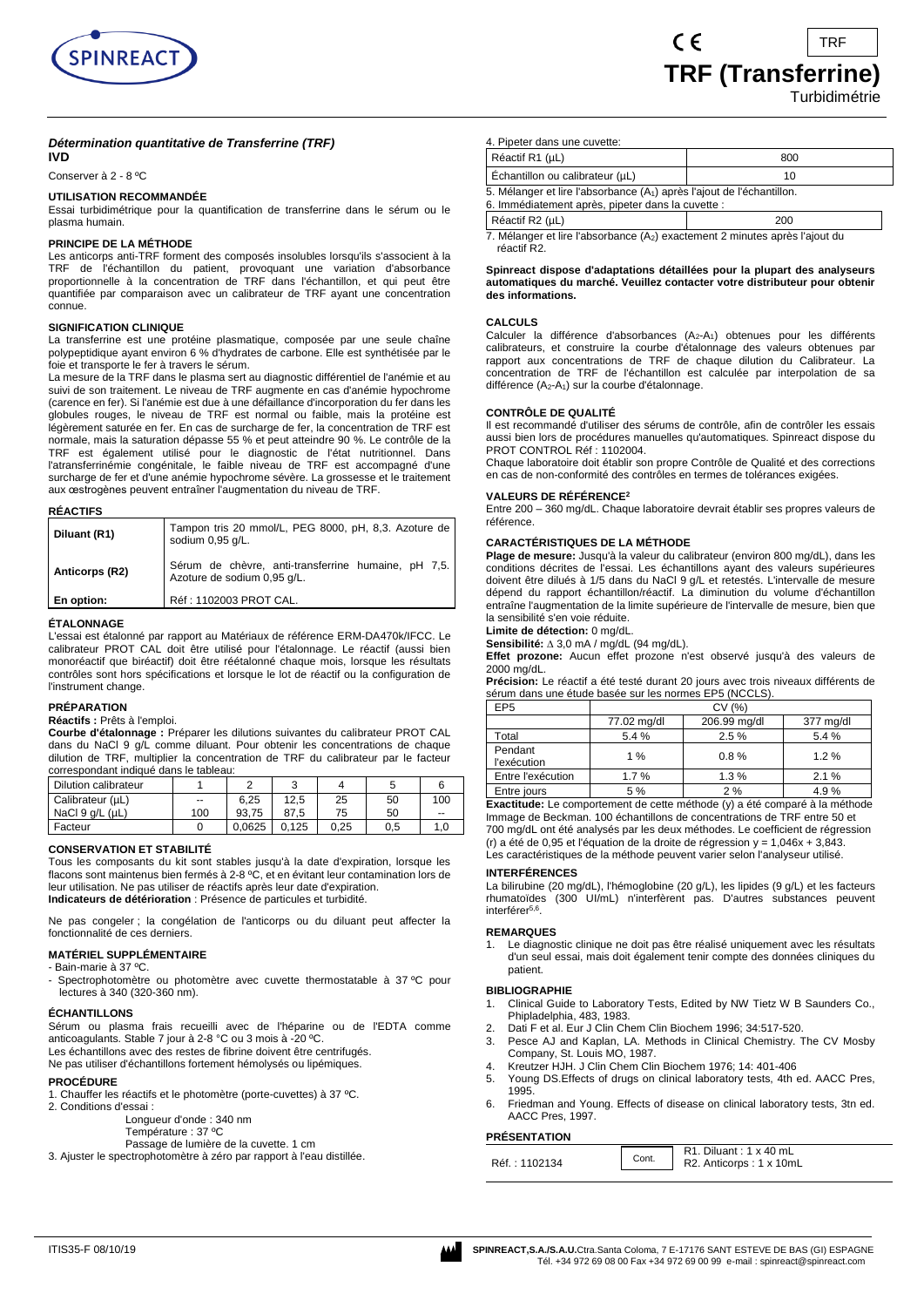

# *Détermination quantitative de Transferrine (TRF)* **IVD**

Conserver à 2 - 8 ºC

### **UTILISATION RECOMMANDÉE**

Essai turbidimétrique pour la quantification de transferrine dans le sérum ou le plasma humain.

### **PRINCIPE DE LA MÉTHODE**

Les anticorps anti-TRF forment des composés insolubles lorsqu'ils s'associent à la TRF de l'échantillon du patient, provoquant une variation d'absorbance proportionnelle à la concentration de TRF dans l'échantillon, et qui peut être quantifiée par comparaison avec un calibrateur de TRF ayant une concentration connue.

# **SIGNIFICATION CLINIQUE**

La transferrine est une protéine plasmatique, composée par une seule chaîne polypeptidique ayant environ 6 % d'hydrates de carbone. Elle est synthétisée par le foie et transporte le fer à travers le sérum.

La mesure de la TRF dans le plasma sert au diagnostic différentiel de l'anémie et au suivi de son traitement. Le niveau de TRF augmente en cas d'anémie hypochrome (carence en fer). Si l'anémie est due à une défaillance d'incorporation du fer dans les globules rouges, le niveau de TRF est normal ou faible, mais la protéine est légèrement saturée en fer. En cas de surcharge de fer, la concentration de TRF est normale, mais la saturation dépasse 55 % et peut atteindre 90 %. Le contrôle de la TRF est également utilisé pour le diagnostic de l'état nutritionnel. Dans l'atransferrinémie congénitale, le faible niveau de TRF est accompagné d'une surcharge de fer et d'une anémie hypochrome sévère. La grossesse et le traitement aux œstrogènes peuvent entraîner l'augmentation du niveau de TRF.

### **RÉACTIFS**

| Diluant (R1)   | Tampon tris 20 mmol/L, PEG 8000, pH, 8,3. Azoture de<br>sodium 0.95 g/L.           |
|----------------|------------------------------------------------------------------------------------|
| Anticorps (R2) | Sérum de chèvre, anti-transferrine humaine, pH 7,5.<br>Azoture de sodium 0,95 g/L. |
| En option:     | Réf: 1102003 PROT CAL.                                                             |

### **ÉTALONNAGE**

L'essai est étalonné par rapport au Matériaux de référence ERM-DA470k/IFCC. Le calibrateur PROT CAL doit être utilisé pour l'étalonnage. Le réactif (aussi bien monoréactif que biréactif) doit être réétalonné chaque mois, lorsque les résultats contrôles sont hors spécifications et lorsque le lot de réactif ou la configuration de l'instrument change.

# **PRÉPARATION**

# **Réactifs :** Prêts à l'emploi.

**Courbe d'étalonnage :** Préparer les dilutions suivantes du calibrateur PROT CAL dans du NaCl 9 g/L comme diluant. Pour obtenir les concentrations de chaque dilution de TRF, multiplier la concentration de TRF du calibrateur par le facteur correspondant indiqué dans le tableau:

| Dilution calibrateur    |     | ◠      | $\sqrt{2}$ |      |     |     |
|-------------------------|-----|--------|------------|------|-----|-----|
| Calibrateur (µL)        | --  | 6.25   | 12.5       | 25   | 50  | 100 |
| NaCl $9$ q/L ( $\mu$ L) | 100 | 93.75  | 87.5       | 75   | 50  | $-$ |
| Facteur                 |     | 0.0625 | 0.125      | 0.25 | 0.5 |     |

### **CONSERVATION ET STABILITÉ**

Tous les composants du kit sont stables jusqu'à la date d'expiration, lorsque les flacons sont maintenus bien fermés à 2-8 ºC, et en évitant leur contamination lors de leur utilisation. Ne pas utiliser de réactifs après leur date d'expiration. **Indicateurs de détérioration** : Présence de particules et turbidité.

Ne pas congeler ; la congélation de l'anticorps ou du diluant peut affecter la fonctionnalité de ces derniers.

### **MATÉRIEL SUPPLÉMENTAIRE**

- Bain-marie à 37 ºC.

Spectrophotomètre ou photomètre avec cuvette thermostatable à 37 °C pour lectures à 340 (320-360 nm).

### **ÉCHANTILLONS**

Sérum ou plasma frais recueilli avec de l'héparine ou de l'EDTA comme anticoagulants. Stable 7 jour à 2-8 °C ou 3 mois à -20 ºC.

Les échantillons avec des restes de fibrine doivent être centrifugés. Ne pas utiliser d'échantillons fortement hémolysés ou lipémiques.

# **PROCÉDURE**

- 
- 1. Chauffer les réactifs et le photomètre (porte-cuvettes) à 37 ºC. 2. Conditions d'essai :
	- Longueur d'onde : 340 nm
	- Température : 37 ºC
		- Passage de lumière de la cuvette. 1 cm
- 3. Ajuster le spectrophotomètre à zéro par rapport à l'eau distillée.

4. Pipeter dans une cuvette:

| Réactif R1 (µL)                                                                                                                         | 800 |  |  |
|-----------------------------------------------------------------------------------------------------------------------------------------|-----|--|--|
| Echantillon ou calibrateur (µL)                                                                                                         | 10  |  |  |
| 5. Mélanger et lire l'absorbance (A <sub>1</sub> ) après l'ajout de l'échantillon.<br>6. Immédiatement après, pipeter dans la cuvette : |     |  |  |
| Réactif R2 (µL)<br>200                                                                                                                  |     |  |  |
| 7 Mélanger et lire l'aboerhanes (A-) exectement 2 minutes enrès l'ojeut du                                                              |     |  |  |

 $\epsilon$ 

lire l'absorbance (A<sub>2</sub>) exactement 2 minutes après l'ajout du réactif R2.

### **Spinreact dispose d'adaptations détaillées pour la plupart des analyseurs automatiques du marché. Veuillez contacter votre distributeur pour obtenir des informations.**

# **CALCULS**

Calculer la différence d'absorbances (A<sub>2</sub>-A<sub>1</sub>) obtenues pour les différents calibrateurs, et construire la courbe d'étalonnage des valeurs obtenues par rapport aux concentrations de TRF de chaque dilution du Calibrateur. La concentration de TRF de l'échantillon est calculée par interpolation de sa différence (A<sub>2</sub>-A<sub>1</sub>) sur la courbe d'étalonnage.

### **CONTRÔLE DE QUALITÉ**

Il est recommandé d'utiliser des sérums de contrôle, afin de contrôler les essais aussi bien lors de procédures manuelles qu'automatiques. Spinreact dispose du PROT CONTROL Réf : 1102004.

Chaque laboratoire doit établir son propre Contrôle de Qualité et des corrections en cas de non-conformité des contrôles en termes de tolérances exigées.

### **VALEURS DE RÉFÉRENCE<sup>2</sup>**

Entre 200 – 360 mg/dL. Chaque laboratoire devrait établir ses propres valeurs de référence.

### **CARACTÉRISTIQUES DE LA MÉTHODE**

**Plage de mesure:** Jusqu'à la valeur du calibrateur (environ 800 mg/dL), dans les conditions décrites de l'essai. Les échantillons ayant des valeurs supérieures doivent être dilués à 1/5 dans du NaCl 9 g/L et retestés. L'intervalle de mesure dépend du rapport échantillon/réactif. La diminution du volume d'échantillon entraîne l'augmentation de la limite supérieure de l'intervalle de mesure, bien que la sensibilité s'en voie réduite.

# **Limite de détection:** 0 mg/dL.

Sensibilité: ∆ 3,0 mA / mg/dL (94 mg/dL).

**Effet prozone:** Aucun effet prozone n'est observé jusqu'à des valeurs de 2000 mg/dL.

**Précision:** Le réactif a été testé durant 20 jours avec trois niveaux différents de sérum dans une étude basée sur les normes EP5 (NCCLS).

| EP <sub>5</sub>        | CV (%)      |              |           |  |
|------------------------|-------------|--------------|-----------|--|
|                        | 77.02 mg/dl | 206.99 mg/dl | 377 mg/dl |  |
| Total                  | 5.4%        | 2.5%         | 5.4 %     |  |
| Pendant<br>l'exécution | $1\%$       | 0.8%         | 1.2%      |  |
| Entre l'exécution      | 1.7%        | 1.3%         | 2.1%      |  |
| Entre jours            | 5 %         | 2%           | 4.9%      |  |

**Exactitude:** Le comportement de cette méthode (y) a été comparé à la méthode Immage de Beckman. 100 échantillons de concentrations de TRF entre 50 et 700 mg/dL ont été analysés par les deux méthodes. Le coefficient de régression (r) a été de 0,95 et l'équation de la droite de régression  $y = 1.046x + 3.843$ . Les caractéristiques de la méthode peuvent varier selon l'analyseur utilisé.

# **INTERFÉRENCES**

La bilirubine (20 mg/dL), l'hémoglobine (20 g/L), les lipides (9 g/L) et les facteurs rhumatoïdes (300 UI/mL) n'interfèrent pas. D'autres substances peuvent interférer<sup>5,6</sup>.

### **REMARQUES**

1. Le diagnostic clinique ne doit pas être réalisé uniquement avec les résultats d'un seul essai, mais doit également tenir compte des données cliniques du patient.

### **BIBLIOGRAPHIE**

- 1. Clinical Guide to Laboratory Tests, Edited by NW Tietz W B Saunders Co., Phipladelphia, 483, 1983.
- 2. Dati F et al. Eur J Clin Chem Clin Biochem 1996; 34:517-520.<br>3. Pesce AJ and Kaplan. LA. Methods in Clinical Chemistry. T
- Pesce AJ and Kaplan, LA. Methods in Clinical Chemistry. The CV Mosby Company, St. Louis MO, 1987.
- 4. Kreutzer HJH. J Clin Chem Clin Biochem 1976; 14: 401-406
- Young DS.Effects of drugs on clinical laboratory tests, 4th ed. AACC Pres, 1995.
- 6. Friedman and Young. Effects of disease on clinical laboratory tests, 3tn ed. AACC Pres, 1997.

### **PRÉSENTATION**

| .             |       |                                                          |
|---------------|-------|----------------------------------------------------------|
| Réf.: 1102134 | Cont. | R1. Diluant: $1 \times 40$ mL<br>R2. Anticorps: 1 x 10mL |

TRF

**Turbidimétrie** 

**TRF (Transferrine)**